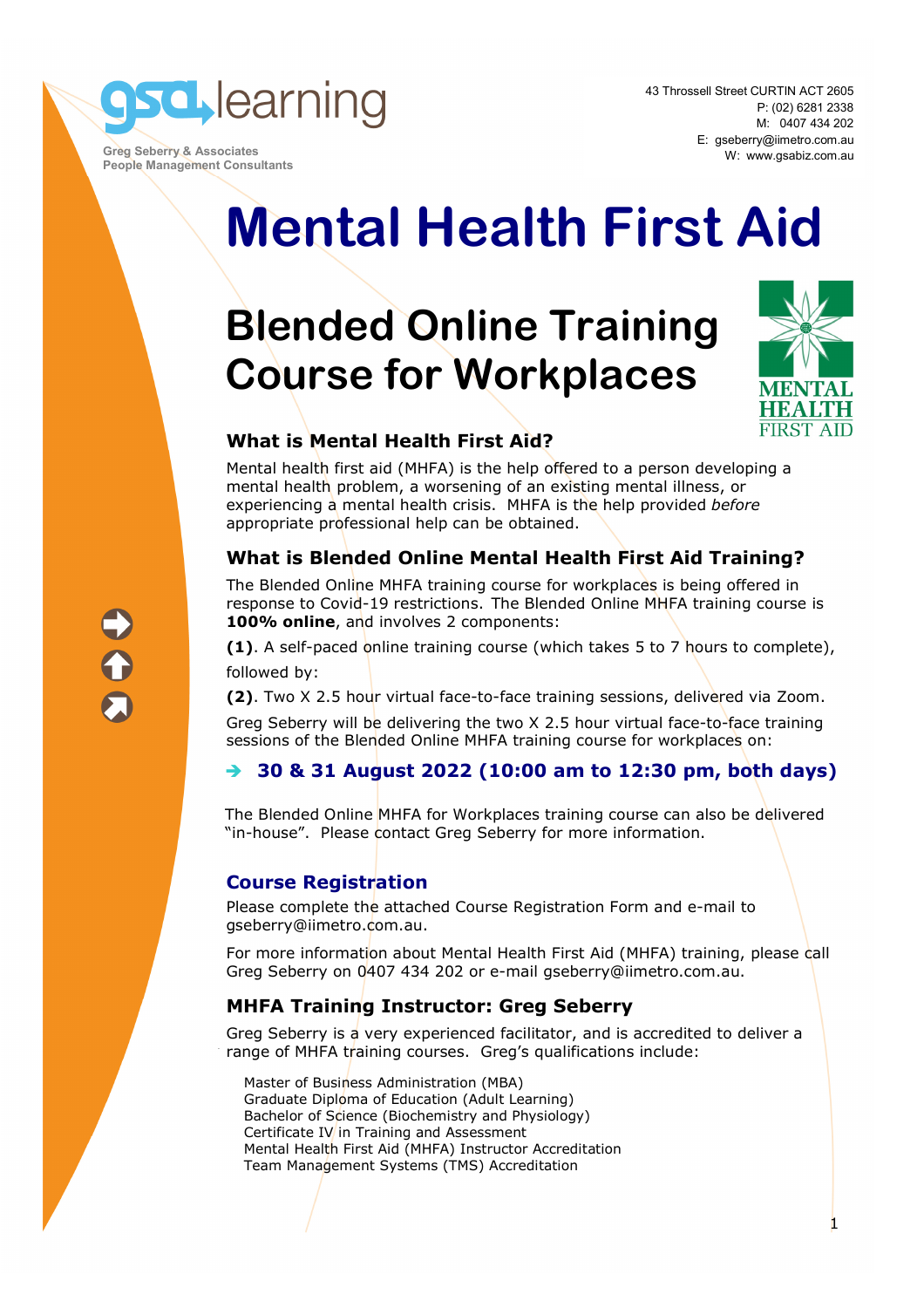

 **Greg Seberry & Associates People Management Consultants** 

# **Mental Health First Aid**

## **Blended Online Training Course for Workplaces**



1

#### **What is Mental Health First Aid?**

Mental health first aid (MHFA) is the help offered to a person developing a mental health problem, a worsening of an existing mental illness, or experiencing a mental health crisis. MHFA is the help provided *before* appropriate professional help can be obtained.

#### **What is Blended Online Mental Health First Aid Training?**

The Blended Online MHFA training course for workplaces is being offered in response to Covid-19 restrictions. The Blended Online MHFA training course is **100% online**, and involves 2 components:

**(1)**. A self-paced online training course (which takes 5 to 7 hours to complete), followed by:

**(2)**. Two X 2.5 hour virtual face-to-face training sessions, delivered via Zoom.

Greg Seberry will be delivering the two X 2.5 hour virtual face-to-face training sessions of the Blended Online MHFA training course for workplaces on:

#### **30 & 31 August 2022 (10:00 am to 12:30 pm, both days)**

The Blended Online MHFA for Workplaces training course can also be delivered "in-house". Please contact Greg Seberry for more information.

#### **Course Registration**

Please complete the attached Course Registration Form and e-mail to gseberry@iimetro.com.au.

For more information about Mental Health First Aid (MHFA) training, please call Greg Seberry on 0407 434 202 or e-mail gseberry@iimetro.com.au.

#### **MHFA Training Instructor: Greg Seberry**

Greg Seberry is a very experienced facilitator, and is accredited to deliver a range of MHFA training courses. Greg's qualifications include:

Master of Business Administration (MBA) Graduate Diploma of Education (Adult Learning) Bachelor of Science (Biochemistry and Physiology) Certificate IV in Training and Assessment Mental Health First Aid (MHFA) Instructor Accreditation Team Management Systems (TMS) Accreditation